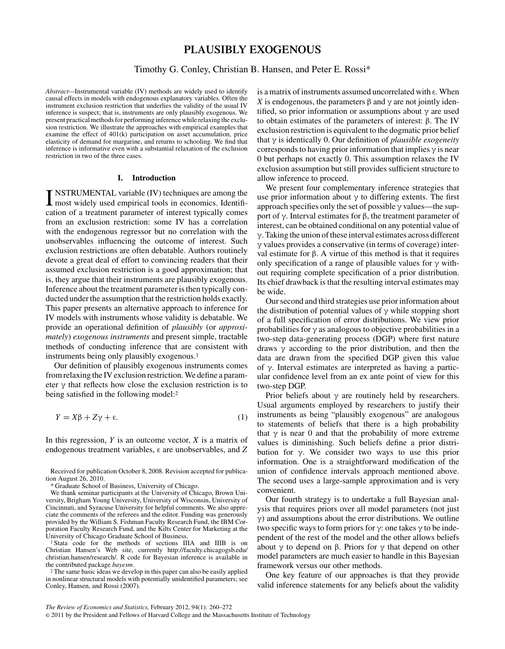# **PLAUSIBLY EXOGENOUS**

# Timothy G. Conley, Christian B. Hansen, and Peter E. Rossi\*

*Abstract—*Instrumental variable (IV) methods are widely used to identify causal effects in models with endogenous explanatory variables. Often the instrument exclusion restriction that underlies the validity of the usual IV inference is suspect; that is, instruments are only plausibly exogenous. We present practical methods for performing inference while relaxing the exclusion restriction. We illustrate the approaches with empirical examples that examine the effect of 401(k) participation on asset accumulation, price elasticity of demand for margarine, and returns to schooling. We find that inference is informative even with a substantial relaxation of the exclusion restriction in two of the three cases.

## **I. Introduction**

**INSTRUMENTAL variable (IV) techniques are among the most widely used empirical tools in economics. Identifi-**NSTRUMENTAL variable (IV) techniques are among the cation of a treatment parameter of interest typically comes from an exclusion restriction: some IV has a correlation with the endogenous regressor but no correlation with the unobservables influencing the outcome of interest. Such exclusion restrictions are often debatable. Authors routinely devote a great deal of effort to convincing readers that their assumed exclusion restriction is a good approximation; that is, they argue that their instruments are plausibly exogenous. Inference about the treatment parameter is then typically conducted under the assumption that the restriction holds exactly. This paper presents an alternative approach to inference for IV models with instruments whose validity is debatable. We provide an operational definition of *plausibly* (or *approximately*) *exogenous instruments* and present simple, tractable methods of conducting inference that are consistent with instruments being only plausibly exogenous.1

Our definition of plausibly exogenous instruments comes from relaxing the IV exclusion restriction.We define a parameter  $\gamma$  that reflects how close the exclusion restriction is to being satisfied in the following model:2

$$
Y = X\beta + Z\gamma + \varepsilon. \tag{1}
$$

In this regression, *Y* is an outcome vector, *X* is a matrix of endogenous treatment variables, ε are unobservables, and *Z*

Received for publication October 8, 2008. Revision accepted for publication August 26, 2010.

We thank seminar participants at the University of Chicago, Brown University, Brigham Young University, University of Wisconsin, University of Cincinnati, and Syracuse University for helpful comments. We also appreciate the comments of the referees and the editor. Funding was generously provided by the William S. Fishman Faculty Research Fund, the IBM Corporation Faculty Research Fund, and the Kilts Center for Marketing at the University of Chicago Graduate School of Business.

<sup>1</sup> Stata code for the methods of sections IIIA and IIIB is on Christian Hansen's Web site, currently http://faculty.chicagogsb.edu/ christian.hansen/research/. R code for Bayesian inference is available in the contributed package *bayesm*.

<sup>2</sup> The same basic ideas we develop in this paper can also be easily applied in nonlinear structural models with potentially unidentified parameters; see Conley, Hansen, and Rossi (2007).

is a matrix of instruments assumed uncorrelated with ε. When *X* is endogenous, the parameters  $\beta$  and  $\gamma$  are not jointly identified, so prior information or assumptions about  $\gamma$  are used to obtain estimates of the parameters of interest: β. The IV exclusion restriction is equivalent to the dogmatic prior belief that γ is identically 0. Our definition of *plausible exogeneity* corresponds to having prior information that implies  $\gamma$  is near 0 but perhaps not exactly 0. This assumption relaxes the IV exclusion assumption but still provides sufficient structure to allow inference to proceed.

We present four complementary inference strategies that use prior information about  $\gamma$  to differing extents. The first approach specifies only the set of possible  $\gamma$  values—the support of γ. Interval estimates for β, the treatment parameter of interest, can be obtained conditional on any potential value of γ. Taking the union of these interval estimates across different γ values provides a conservative (in terms of coverage) interval estimate for β. A virtue of this method is that it requires only specification of a range of plausible values for  $\gamma$  without requiring complete specification of a prior distribution. Its chief drawback is that the resulting interval estimates may be wide.

Our second and third strategies use prior information about the distribution of potential values of  $\gamma$  while stopping short of a full specification of error distributions. We view prior probabilities for  $\gamma$  as analogous to objective probabilities in a two-step data-generating process (DGP) where first nature draws  $\gamma$  according to the prior distribution, and then the data are drawn from the specified DGP given this value of γ. Interval estimates are interpreted as having a particular confidence level from an ex ante point of view for this two-step DGP.

Prior beliefs about  $\gamma$  are routinely held by researchers. Usual arguments employed by researchers to justify their instruments as being "plausibly exogenous" are analogous to statements of beliefs that there is a high probability that  $γ$  is near 0 and that the probability of more extreme values is diminishing. Such beliefs define a prior distribution for γ. We consider two ways to use this prior information. One is a straightforward modification of the union of confidence intervals approach mentioned above. The second uses a large-sample approximation and is very convenient.

Our fourth strategy is to undertake a full Bayesian analysis that requires priors over all model parameters (not just  $\gamma$ ) and assumptions about the error distributions. We outline two specific ways to form priors for  $\gamma$ : one takes  $\gamma$  to be independent of the rest of the model and the other allows beliefs about γ to depend on β. Priors for γ that depend on other model parameters are much easier to handle in this Bayesian framework versus our other methods.

One key feature of our approaches is that they provide valid inference statements for any beliefs about the validity

<sup>\*</sup> Graduate School of Business, University of Chicago.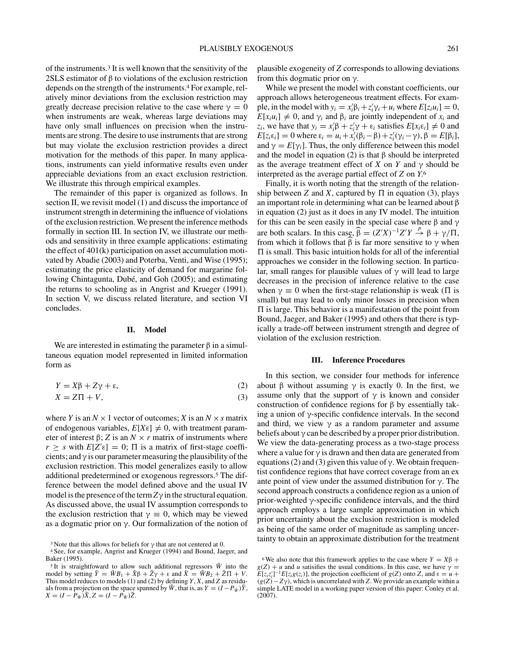of the instruments.3 It is well known that the sensitivity of the 2SLS estimator of β to violations of the exclusion restriction depends on the strength of the instruments.4 For example, relatively minor deviations from the exclusion restriction may greatly decrease precision relative to the case where  $\gamma = 0$ when instruments are weak, whereas large deviations may have only small influences on precision when the instruments are strong. The desire to use instruments that are strong but may violate the exclusion restriction provides a direct motivation for the methods of this paper. In many applications, instruments can yield informative results even under appreciable deviations from an exact exclusion restriction. We illustrate this through empirical examples.

The remainder of this paper is organized as follows. In section II, we revisit model (1) and discuss the importance of instrument strength in determining the influence of violations of the exclusion restriction. We present the inference methods formally in section III. In section IV, we illustrate our methods and sensitivity in three example applications: estimating the effect of 401(k) participation on asset accumulation motivated by Abadie (2003) and Poterba, Venti, and Wise (1995); estimating the price elasticity of demand for margarine following Chintagunta, Dubé, and Goh (2005); and estimating the returns to schooling as in Angrist and Krueger (1991). In section V, we discuss related literature, and section VI concludes.

#### **II. Model**

We are interested in estimating the parameter  $\beta$  in a simultaneous equation model represented in limited information form as

$$
Y = X\beta + Z\gamma + \varepsilon,\tag{2}
$$

$$
X = Z\Pi + V,\tag{3}
$$

where *Y* is an  $N \times 1$  vector of outcomes; *X* is an  $N \times s$  matrix of endogenous variables,  $E[X \varepsilon] \neq 0$ , with treatment parameter of interest  $\beta$ ; *Z* is an *N* × *r* matrix of instruments where  $r \geq s$  with  $E[Z/\varepsilon] = 0$ ;  $\Pi$  is a matrix of first-stage coefficients; and  $\gamma$  is our parameter measuring the plausibility of the exclusion restriction. This model generalizes easily to allow additional predetermined or exogenous regressors.5 The difference between the model defined above and the usual IV model is the presence of the term  $Z_{\gamma}$  in the structural equation. As discussed above, the usual IV assumption corresponds to the exclusion restriction that  $\gamma \equiv 0$ , which may be viewed as a dogmatic prior on  $\gamma$ . Our formalization of the notion of plausible exogeneity of *Z* corresponds to allowing deviations from this dogmatic prior on  $γ$ .

While we present the model with constant coefficients, our approach allows heterogeneous treatment effects. For example, in the model with  $y_i = x_i' \beta_i + z_i' \gamma_i + u_i$  where  $E[z_i u_i] = 0$ ,  $E[x_i u_i] \neq 0$ , and  $\gamma_i$  and  $\beta_i$  are jointly independent of  $x_i$  and *z<sub>i</sub>*, we have that  $y_i = x_i' \beta + z_i' \gamma + \varepsilon_i$  satisfies  $E[x_i \varepsilon_i] \neq 0$  and  $E[z_i \varepsilon_i] = 0$  where  $\varepsilon_i = u_i + x_i'(\beta_i - \beta) + z_i'(\gamma_i - \gamma), \beta = E[\beta_i],$ and  $\gamma = E[\gamma_i]$ . Thus, the only difference between this model and the model in equation (2) is that  $\beta$  should be interpreted as the average treatment effect of *X* on *Y* and  $\gamma$  should be interpreted as the average partial effect of *Z* on *Y*.6

Finally, it is worth noting that the strength of the relationship between *Z* and *X*, captured by  $\Pi$  in equation (3), plays an important role in determining what can be learned about β in equation (2) just as it does in any IV model. The intuition for this can be seen easily in the special case where β and γ are both scalars. In this case,  $\widehat{\beta} = (Z'X)^{-1}Z'Y \stackrel{p}{\rightarrow} \beta + \gamma/\Pi$ , from which it follows that β is far more sensitive to γ when Π is small. This basic intuition holds for all of the inferential approaches we consider in the following section. In particular, small ranges for plausible values of  $\gamma$  will lead to large decreases in the precision of inference relative to the case when  $\gamma \equiv 0$  when the first-stage relationship is weak (Π is small) but may lead to only minor losses in precision when Π is large. This behavior is a manifestation of the point from Bound, Jaeger, and Baker (1995) and others that there is typically a trade-off between instrument strength and degree of violation of the exclusion restriction.

### **III. Inference Procedures**

In this section, we consider four methods for inference about β without assuming  $\gamma$  is exactly 0. In the first, we assume only that the support of  $\gamma$  is known and consider construction of confidence regions for β by essentially taking a union of γ-specific confidence intervals. In the second and third, we view  $\gamma$  as a random parameter and assume beliefs about  $\gamma$  can be described by a proper prior distribution. We view the data-generating process as a two-stage process where a value for  $\gamma$  is drawn and then data are generated from equations (2) and (3) given this value of  $\gamma$ . We obtain frequentist confidence regions that have correct coverage from an ex ante point of view under the assumed distribution for  $\gamma$ . The second approach constructs a confidence region as a union of prior-weighted γ-specific confidence intervals, and the third approach employs a large sample approximation in which prior uncertainty about the exclusion restriction is modeled as being of the same order of magnitude as sampling uncertainty to obtain an approximate distribution for the treatment

<sup>&</sup>lt;sup>3</sup> Note that this allows for beliefs for  $\gamma$  that are not centered at 0.

<sup>4</sup> See, for example, Angrist and Krueger (1994) and Bound, Jaeger, and Baker (1995).

<sup>&</sup>lt;sup>5</sup> It is straightfoward to allow such additional regressors  $\tilde{W}$  into the model by setting  $\tilde{Y} = \tilde{W}B_1 + \tilde{X}\beta + \tilde{Z}\gamma + \epsilon$  and  $\tilde{X} = \tilde{W}B_2 + \tilde{Z}\Pi + V$ . This model reduces to models (1) and (2) by defining *Y*, *X*, and *Z* as residuals from a projection on the space spanned by  $\tilde{W}$ , that is, as  $Y = (I - P_{\tilde{W}})\tilde{Y}$ ,  $X = (I - P_{\tilde{W}}) \tilde{X}, Z = (I - P_{\tilde{W}}) \tilde{Z}.$ 

<sup>&</sup>lt;sup>6</sup>We also note that this framework applies to the case where  $Y = X\beta +$  $g(Z) + u$  and *u* satisifies the usual conditions. In this case, we have  $\gamma =$  $E[z_iz_i']^{-1}E[z_ig(z_i)]$ , the projection coefficient of *g*(*Z*) onto *Z*, and  $\varepsilon = u +$ *(g(Z)*−*Z*γ*)*, which is uncorrelated with *Z*. We provide an example within a simple LATE model in a working paper version of this paper: Conley et al. (2007).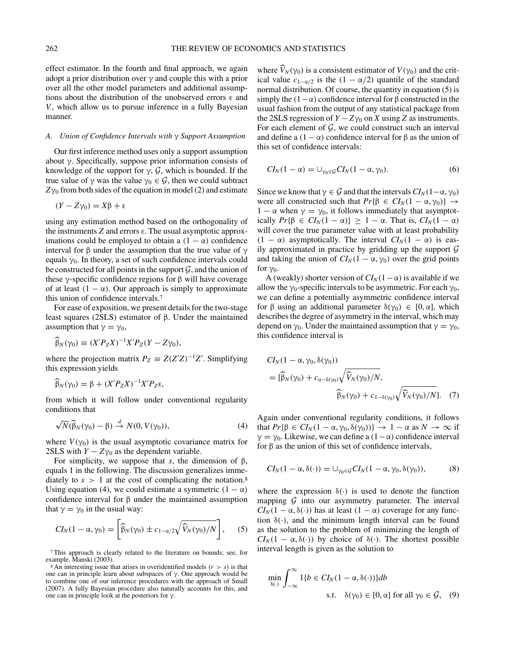effect estimator. In the fourth and final approach, we again adopt a prior distribution over  $\gamma$  and couple this with a prior over all the other model parameters and additional assumptions about the distribution of the unobserved errors ε and *V*, which allow us to pursue inference in a fully Bayesian manner.

### *A. Union of Confidence Intervals with* γ *Support Assumption*

Our first inference method uses only a support assumption about  $\gamma$ . Specifically, suppose prior information consists of knowledge of the support for  $\gamma$ ,  $\mathcal{G}$ , which is bounded. If the true value of γ was the value  $γ_0 ∈ G$ , then we could subtract  $Z\gamma_0$  from both sides of the equation in model (2) and estimate

$$
(Y - Z\gamma_0) = X\beta + \varepsilon
$$

using any estimation method based on the orthogonality of the instruments *Z* and errors ε. The usual asymptotic approximations could be employed to obtain a  $(1 - \alpha)$  confidence interval for β under the assumption that the true value of γ equals  $\gamma_0$ . In theory, a set of such confidence intervals could be constructed for all points in the support  $\mathcal{G}$ , and the union of these γ-specific confidence regions for β will have coverage of at least  $(1 - \alpha)$ . Our approach is simply to approximate this union of confidence intervals.7

For ease of exposition, we present details for the two-stage least squares (2SLS) estimator of β. Under the maintained assumption that  $\gamma = \gamma_0$ ,

$$
\widehat{\beta}_N(\gamma_0) \equiv (X'P_ZX)^{-1}X'P_Z(Y - Z\gamma_0),
$$

where the projection matrix  $P_Z \equiv Z(Z'Z)^{-1}Z'$ . Simplifying this expression yields

$$
\widehat{\beta}_N(\gamma_0) = \beta + (X'P_ZX)^{-1}X'P_Z\varepsilon,
$$

from which it will follow under conventional regularity conditions that

$$
\sqrt{N}(\widehat{\beta}_N(\gamma_0) - \beta) \stackrel{d}{\rightarrow} N(0, V(\gamma_0)),
$$
\n(4)

where  $V(\gamma_0)$  is the usual asymptotic covariance matrix for 2SLS with  $Y - Z\gamma_0$  as the dependent variable.

For simplicity, we suppose that *s*, the dimension of β, equals 1 in the following. The discussion generalizes immediately to  $s > 1$  at the cost of complicating the notation.<sup>8</sup> Using equation (4), we could estimate a symmetric  $(1 - \alpha)$ confidence interval for β under the maintained assumption that  $\gamma = \gamma_0$  in the usual way:

$$
CI_N(1-\alpha,\gamma_0) = \left[\widehat{\beta}_N(\gamma_0) \pm c_{1-\alpha/2}\sqrt{\widehat{V}_N(\gamma_0)/N}\right],\qquad(5)
$$

where  $V_N(\gamma_0)$  is a consistent estimator of  $V(\gamma_0)$  and the critical value  $c_{1-\alpha/2}$  is the  $(1-\alpha/2)$  quantile of the standard normal distribution. Of course, the quantity in equation (5) is simply the  $(1-\alpha)$  confidence interval for  $\beta$  constructed in the usual fashion from the output of any statistical package from the 2SLS regression of  $Y - Z\gamma_0$  on *X* using *Z* as instruments. For each element of  $G$ , we could construct such an interval and define a  $(1 - \alpha)$  confidence interval for  $\beta$  as the union of this set of confidence intervals:

$$
CI_N(1-\alpha) = \bigcup_{\gamma_0 \in \mathcal{G}} CI_N(1-\alpha, \gamma_0). \tag{6}
$$

Since we know that  $\gamma \in \mathcal{G}$  and that the intervals  $Cl_N(1-\alpha, \gamma_0)$ were all constructed such that  $Pr{\beta \in CI_N(1-\alpha, \gamma_0)} \rightarrow$  $1 - \alpha$  when  $\gamma = \gamma_0$ , it follows immediately that asymptotically  $Pr{\beta \in CI_N(1-\alpha)} \geq 1-\alpha$ . That is,  $CI_N(1-\alpha)$ will cover the true parameter value with at least probability *(*1 − α*)* asymptotically. The interval  $Cl_N(1 - \alpha)$  is easily approximated in practice by gridding up the support  $G$ and taking the union of  $CI_N(1 - \alpha, \gamma_0)$  over the grid points for  $\gamma_0$ .

A (weakly) shorter version of  $CI_N(1-\alpha)$  is available if we allow the  $\gamma_0$ -specific intervals to be asymmetric. For each  $\gamma_0$ , we can define a potentially asymmetric confidence interval for β using an additional parameter  $\delta(\gamma_0) \in [0, \alpha]$ , which describes the degree of asymmetry in the interval, which may depend on  $\gamma_0$ . Under the maintained assumption that  $\gamma = \gamma_0$ , this confidence interval is

$$
CI_N(1 - \alpha, \gamma_0, \delta(\gamma_0))
$$
  
=  $[\widehat{\beta}_N(\gamma_0) + c_{\alpha-\delta(\gamma_0)}\sqrt{\widehat{V}_N(\gamma_0)/N},$   
 $\widehat{\beta}_N(\gamma_0) + c_{1-\delta(\gamma_0)}\sqrt{\widehat{V}_N(\gamma_0)/N}].$  (7)

Again under conventional regularity conditions, it follows that  $Pr{\beta \in CI_N(1-\alpha, \gamma_0, \delta(\gamma_0))} \rightarrow 1 - \alpha \text{ as } N \rightarrow \infty \text{ if }$  $\gamma = \gamma_0$ . Likewise, we can define a  $(1-\alpha)$  confidence interval for β as the union of this set of confidence intervals,

$$
CI_N(1-\alpha,\delta(\cdot)) = \bigcup_{\gamma_0 \in \mathcal{G}} CI_N(1-\alpha,\gamma_0,\delta(\gamma_0)),\tag{8}
$$

where the expression δ*(*·*)* is used to denote the function mapping  $G$  into our asymmetry parameter. The interval  $CI_N(1 - \alpha, \delta(\cdot))$  has at least  $(1 - \alpha)$  coverage for any function  $\delta(\cdot)$ , and the minimum length interval can be found as the solution to the problem of minimizing the length of  $CI_N(1 - \alpha, \delta(\cdot))$  by choice of  $\delta(\cdot)$ . The shortest possible interval length is given as the solution to

$$
\min_{\delta(\cdot)} \int_{-\infty}^{\infty} 1\{b \in CI_N(1-\alpha, \delta(\cdot))\} db
$$
  
s.t.  $\delta(\gamma_0) \in [0, \alpha]$  for all  $\gamma_0 \in \mathcal{G}$ , (9)

<sup>7</sup> This approach is clearly related to the literature on bounds; see, for example, Manski (2003).

 $8$  An interesting issue that arises in overidentified models  $(r > s)$  is that one can in principle learn about subspaces of γ. One approach would be to combine one of our inference procedures with the approach of Small (2007). A fully Bayesian procedure also naturally accounts for this, and one can in principle look at the posteriors for γ.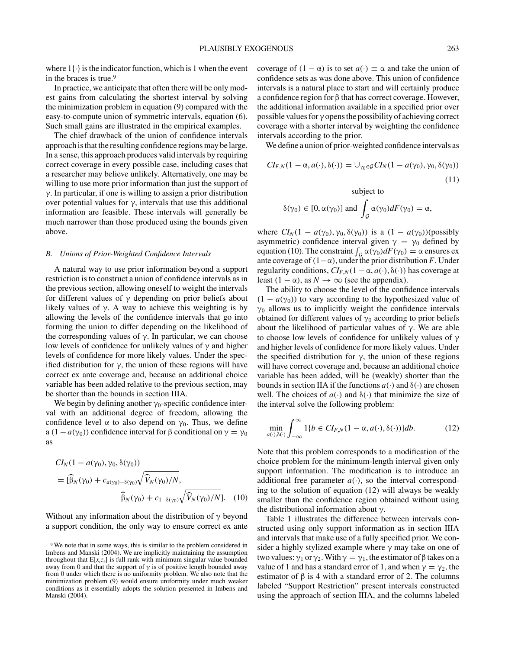where  $1\{\cdot\}$  is the indicator function, which is 1 when the event in the braces is true.9

In practice, we anticipate that often there will be only modest gains from calculating the shortest interval by solving the minimization problem in equation (9) compared with the easy-to-compute union of symmetric intervals, equation (6). Such small gains are illustrated in the empirical examples.

The chief drawback of the union of confidence intervals approach is that the resulting confidence regions may be large. In a sense, this approach produces valid intervals by requiring correct coverage in every possible case, including cases that a researcher may believe unlikely. Alternatively, one may be willing to use more prior information than just the support of γ. In particular, if one is willing to assign a prior distribution over potential values for γ, intervals that use this additional information are feasible. These intervals will generally be much narrower than those produced using the bounds given above.

### *B. Unions of Prior-Weighted Confidence Intervals*

A natural way to use prior information beyond a support restriction is to construct a union of confidence intervals as in the previous section, allowing oneself to weight the intervals for different values of  $\gamma$  depending on prior beliefs about likely values of  $\gamma$ . A way to achieve this weighting is by allowing the levels of the confidence intervals that go into forming the union to differ depending on the likelihood of the corresponding values of  $\gamma$ . In particular, we can choose low levels of confidence for unlikely values of  $γ$  and higher levels of confidence for more likely values. Under the specified distribution for  $\gamma$ , the union of these regions will have correct ex ante coverage and, because an additional choice variable has been added relative to the previous section, may be shorter than the bounds in section IIIA.

We begin by defining another  $\gamma_0$ -specific confidence interval with an additional degree of freedom, allowing the confidence level  $\alpha$  to also depend on  $\gamma_0$ . Thus, we define a  $(1 - a(\gamma_0))$  confidence interval for β conditional on  $\gamma = \gamma_0$ as

$$
CI_N(1 - a(\gamma_0), \gamma_0, \delta(\gamma_0))
$$
  
=  $[\widehat{\beta}_N(\gamma_0) + c_{a(\gamma_0) - \delta(\gamma_0)}\sqrt{\widehat{V}_N(\gamma_0)/N},$   
 $\widehat{\beta}_N(\gamma_0) + c_{1-\delta(\gamma_0)}\sqrt{\widehat{V}_N(\gamma_0)/N}].$  (10)

Without any information about the distribution of  $\gamma$  beyond a support condition, the only way to ensure correct ex ante coverage of  $(1 - \alpha)$  is to set  $a(\cdot) \equiv \alpha$  and take the union of confidence sets as was done above. This union of confidence intervals is a natural place to start and will certainly produce a confidence region for β that has correct coverage. However, the additional information available in a specified prior over possible values for γ opens the possibility of achieving correct coverage with a shorter interval by weighting the confidence intervals according to the prior.

We define a union of prior-weighted confidence intervals as

$$
CI_{F,N}(1-\alpha, a(\cdot), \delta(\cdot)) = \bigcup_{\gamma_0 \in \mathcal{G}} CI_N(1-a(\gamma_0), \gamma_0, \delta(\gamma_0))
$$
\n(11)

subject to  
\n
$$
\delta(\gamma_0) \in [0, \alpha(\gamma_0)] \text{ and } \int_{\mathcal{G}} \alpha(\gamma_0) dF(\gamma_0) = \alpha,
$$

where  $CI_N(1 - a(\gamma_0), \gamma_0, \delta(\gamma_0))$  is a  $(1 - a(\gamma_0))$  (possibly asymmetric) confidence interval given  $\gamma = \gamma_0$  defined by equation (10). The constraint  $\int_{\mathcal{G}} \alpha(\gamma_0) dF(\gamma_0) = \alpha$  ensures ex ante coverage of  $(1-\alpha)$ , under the prior distribution *F*. Under regularity conditions,  $CI_{F,N}(1 - \alpha, a(\cdot), \delta(\cdot))$  has coverage at least  $(1 - \alpha)$ , as  $N \to \infty$  (see the appendix).

The ability to choose the level of the confidence intervals  $(1 - a(\gamma_0))$  to vary according to the hypothesized value of  $\gamma_0$  allows us to implicitly weight the confidence intervals obtained for different values of  $\gamma_0$  according to prior beliefs about the likelihood of particular values of  $γ$ . We are able to choose low levels of confidence for unlikely values of γ and higher levels of confidence for more likely values. Under the specified distribution for  $\gamma$ , the union of these regions will have correct coverage and, because an additional choice variable has been added, will be (weakly) shorter than the bounds in section IIA if the functions  $a(\cdot)$  and  $\delta(\cdot)$  are chosen well. The choices of  $a(\cdot)$  and  $\delta(\cdot)$  that minimize the size of the interval solve the following problem:

$$
\min_{a(\cdot),\delta(\cdot)} \int_{-\infty}^{\infty} 1\{b \in CI_{F,N}(1-\alpha,a(\cdot),\delta(\cdot))\} db.
$$
 (12)

Note that this problem corresponds to a modification of the choice problem for the minimum-length interval given only support information. The modification is to introduce an additional free parameter  $a(\cdot)$ , so the interval corresponding to the solution of equation (12) will always be weakly smaller than the confidence region obtained without using the distributional information about  $γ$ .

Table 1 illustrates the difference between intervals constructed using only support information as in section IIIA and intervals that make use of a fully specified prior. We consider a highly stylized example where  $\gamma$  may take on one of two values:  $\gamma_1$  or  $\gamma_2$ . With  $\gamma = \gamma_1$ , the estimator of  $\beta$  takes on a value of 1 and has a standard error of 1, and when  $\gamma = \gamma_2$ , the estimator of  $\beta$  is 4 with a standard error of 2. The columns labeled "Support Restriction" present intervals constructed using the approach of section IIIA, and the columns labeled

<sup>9</sup> We note that in some ways, this is similar to the problem considered in Imbens and Manski (2004). We are implicitly maintaining the assumption throughout that  $E[x_i z_i]$  is full rank with minimum singular value bounded away from 0 and that the support of  $\gamma$  is of positive length bounded away from 0 under which there is no uniformity problem. We also note that the minimization problem (9) would ensure uniformity under much weaker conditions as it essentially adopts the solution presented in Imbens and Manski (2004).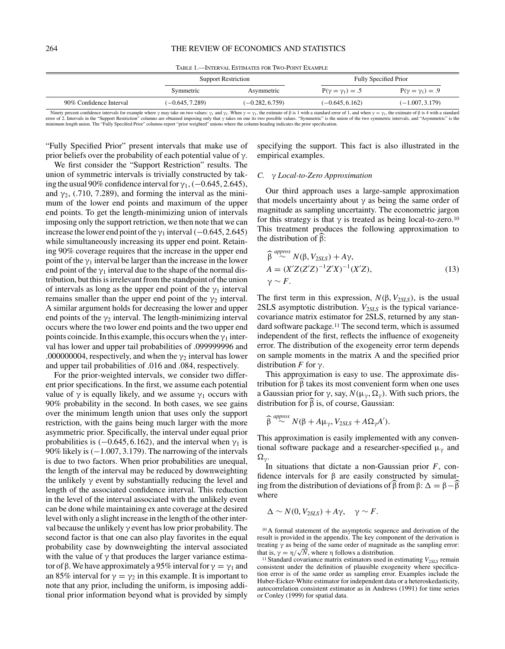Table 1.—Interval Estimates for Two-Point Example

|                                                                                                                                                                                                                                                     | <b>Support Restriction</b> |                   | Fully Specified Prior       |                             |
|-----------------------------------------------------------------------------------------------------------------------------------------------------------------------------------------------------------------------------------------------------|----------------------------|-------------------|-----------------------------|-----------------------------|
|                                                                                                                                                                                                                                                     | Symmetric                  | Asymmetric        | $P(\gamma = \gamma_1) = .5$ | $P(\gamma = \gamma_1) = .9$ |
| 90% Confidence Interval                                                                                                                                                                                                                             | $(-0.645, 7.289)$          | $(-0.282, 6.759)$ | $(-0.645, 6.162)$           | $(-1.007, 3.179)$           |
| Ninety percent confidence intervals for example where y may take on two values: y <sub>1</sub> and y <sub>2</sub> . When $y = y_1$ , the estimate of B is 1 with a standard error of 1, and when $y = y_2$ , the estimate of B is 4 with a standard |                            |                   |                             |                             |

error of 2. Intervals in the "Support Restriction" columns are obtained imposing only that γ takes on one its two possible values. "Symmetric" is the union of the two symmetric intervals, and "Asymmetric" is the<br>minimum l

"Fully Specified Prior" present intervals that make use of prior beliefs over the probability of each potential value of  $\gamma$ .

We first consider the "Support Restriction" results. The union of symmetric intervals is trivially constructed by taking the usual 90% confidence interval for  $\gamma_1$ , (-0.645, 2.645), and  $\gamma_2$ , (.710, 7.289), and forming the interval as the minimum of the lower end points and maximum of the upper end points. To get the length-minimizing union of intervals imposing only the support retriction, we then note that we can increase the lower end point of the  $\gamma_1$  interval (−0.645, 2.645) while simultaneously increasing its upper end point. Retaining 90% coverage requires that the increase in the upper end point of the  $\gamma_1$  interval be larger than the increase in the lower end point of the  $\gamma_1$  interval due to the shape of the normal distribution, but this is irrelevant from the standpoint of the union of intervals as long as the upper end point of the  $\gamma_1$  interval remains smaller than the upper end point of the  $\gamma_2$  interval. A similar argument holds for decreasing the lower and upper end points of the  $\gamma_2$  interval. The length-minimizing interval occurs where the two lower end points and the two upper end points coincide. In this example, this occurs when the  $\gamma_1$  interval has lower and upper tail probabilities of .099999996 and .000000004, respectively, and when the  $\gamma_2$  interval has lower and upper tail probabilities of .016 and .084, respectively.

For the prior-weighted intervals, we consider two different prior specifications. In the first, we assume each potential value of  $γ$  is equally likely, and we assume  $γ_1$  occurs with 90% probability in the second. In both cases, we see gains over the minimum length union that uses only the support restriction, with the gains being much larger with the more asymmetric prior. Specifically, the interval under equal prior probabilities is  $(-0.645, 6.162)$ , and the interval when  $\gamma_1$  is 90% likely is*(*−1.007, 3.179*)*. The narrowing of the intervals is due to two factors. When prior probabilities are unequal, the length of the interval may be reduced by downweighting the unlikely  $\gamma$  event by substantially reducing the level and length of the associated confidence interval. This reduction in the level of the interval associated with the unlikely event can be done while maintaining ex ante coverage at the desired level with only a slight increase in the length of the other interval because the unlikely  $\gamma$  event has low prior probability. The second factor is that one can also play favorites in the equal probability case by downweighting the interval associated with the value of  $\gamma$  that produces the larger variance estimator of β. We have approximately a 95% interval for  $\gamma = \gamma_1$  and an 85% interval for  $\gamma = \gamma_2$  in this example. It is important to note that any prior, including the uniform, is imposing additional prior information beyond what is provided by simply

specifying the support. This fact is also illustrated in the empirical examples.

#### *C.* γ *Local-to-Zero Approximation*

Our third approach uses a large-sample approximation that models uncertainty about  $\gamma$  as being the same order of magnitude as sampling uncertainty. The econometric jargon for this strategy is that  $\gamma$  is treated as being local-to-zero.<sup>10</sup> This treatment produces the following approximation to the distribution of  $β$ :

$$
\widehat{\beta}^{approx} N(\beta, V_{2SLS}) + A\gamma,
$$
  
\n
$$
A = (X'Z(Z'Z)^{-1}Z'X)^{-1}(X'Z),
$$
  
\n
$$
\gamma \sim F.
$$
\n(13)

The first term in this expression,  $N(\beta, V_{2SLS})$ , is the usual 2SLS asymptotic distribution. *V*2*SLS* is the typical variancecovariance matrix estimator for 2SLS, returned by any standard software package.11 The second term, which is assumed independent of the first, reflects the influence of exogeneity error. The distribution of the exogeneity error term depends on sample moments in the matrix A and the specified prior distribution  $F$  for  $\gamma$ .

This approximation is easy to use. The approximate distribution for  $\beta$  takes its most convenient form when one uses a Gaussian prior for  $\gamma$ , say,  $N(\mu_{\gamma}, \Omega_{\gamma})$ . With such priors, the distribution for  $\beta$  is, of course, Gaussian:

$$
\widehat{\beta}^{approx} N(\beta + A\mu_{\gamma}, V_{2SLS} + A\Omega_{\gamma}A').
$$

This approximation is easily implemented with any conventional software package and a researcher-specified  $\mu_{\gamma}$  and  $Ω<sub>γ</sub>$ .

In situations that dictate a non-Gaussian prior *F*, confidence intervals for β are easily constructed by simulating from the distribution of deviations of  $\beta$  from  $\beta$ :  $\Delta = \beta - \beta$ where

$$
\Delta \sim N(0, V_{2SLS}) + A\gamma, \quad \gamma \sim F.
$$

<sup>10</sup> A formal statement of the asymptotic sequence and derivation of the result is provided in the appendix. The key component of the derivation is treating  $\gamma$  as being of the same order of magnitude as the sampling error: treating γ as being of the same order of magnitude<br>that is,  $γ = η / √N$ , where η follows a distribution.

<sup>11</sup> Standard covariance matrix estimators used in estimating  $V_{2SLS}$  remain consistent under the definition of plausible exogeneity where specification error is of the same order as sampling error. Examples include the Huber-Eicker-White estimator for independent data or a heteroskedasticity, autocorrelation consistent estimator as in Andrews (1991) for time series or Conley (1999) for spatial data.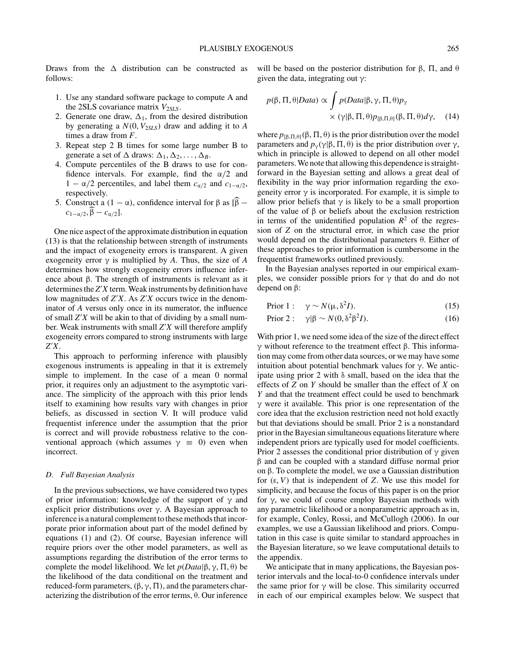Draws from the  $\Delta$  distribution can be constructed as follows:

- 1. Use any standard software package to compute A and the 2SLS covariance matrix  $V_{2SLS}$ .
- 2. Generate one draw,  $\Delta_1$ , from the desired distribution by generating a  $N(0, V_{2SLS})$  draw and adding it to A times a draw from *F*.
- 3. Repeat step 2 B times for some large number B to generate a set of  $\Delta$  draws:  $\Delta_1, \Delta_2, \ldots, \Delta_B$ .
- 4. Compute percentiles of the B draws to use for confidence intervals. For example, find the α*/*2 and  $1 - \alpha/2$  percentiles, and label them  $c_{\alpha/2}$  and  $c_{1-\alpha/2}$ , respectively.
- 5. Construct a  $(1 \alpha)$ , confidence interval for β as  $\beta$   $c_{1-\alpha/2}, \beta - c_{\alpha/2}$ ].

One nice aspect of the approximate distribution in equation (13) is that the relationship between strength of instruments and the impact of exogeneity errors is transparent. A given exogeneity error  $\gamma$  is multiplied by *A*. Thus, the size of *A* determines how strongly exogeneity errors influence inference about  $\beta$ . The strength of instruments is relevant as it determines the *Z X* term.Weak instruments by definition have low magnitudes of *Z X*. As *Z X* occurs twice in the denominator of *A* versus only once in its numerator, the influence of small *Z X* will be akin to that of dividing by a small number. Weak instruments with small *Z X* will therefore amplify exogeneity errors compared to strong instruments with large *Z X*.

This approach to performing inference with plausibly exogenous instruments is appealing in that it is extremely simple to implement. In the case of a mean 0 normal prior, it requires only an adjustment to the asymptotic variance. The simplicity of the approach with this prior lends itself to examining how results vary with changes in prior beliefs, as discussed in section V. It will produce valid frequentist inference under the assumption that the prior is correct and will provide robustness relative to the conventional approach (which assumes  $\gamma \equiv 0$ ) even when incorrect.

## *D. Full Bayesian Analysis*

In the previous subsections, we have considered two types of prior information: knowledge of the support of  $\gamma$  and explicit prior distributions over  $\gamma$ . A Bayesian approach to inference is a natural complement to these methods that incorporate prior information about part of the model defined by equations (1) and (2). Of course, Bayesian inference will require priors over the other model parameters, as well as assumptions regarding the distribution of the error terms to complete the model likelihood. We let  $p(Data|\beta, \gamma, \Pi, \theta)$  be the likelihood of the data conditional on the treatment and reduced-form parameters, *(*β, γ, Π*)*, and the parameters characterizing the distribution of the error terms, θ. Our inference will be based on the posterior distribution for β,  $\Pi$ , and θ given the data, integrating out  $\gamma$ :

$$
p(\beta, \Pi, \theta | Data) \propto \int p (Data | \beta, \gamma, \Pi, \theta) p_{\gamma} \times (\gamma | \beta, \Pi, \theta) p_{\{\beta, \Pi, \theta\}}(\beta, \Pi, \theta) d\gamma, \quad (14)
$$

where  $p_{\{\beta,\Pi,\theta\}}(\beta,\Pi,\theta)$  is the prior distribution over the model parameters and  $p_\nu$ (γ|β, Π, θ) is the prior distribution over γ, which in principle is allowed to depend on all other model parameters.We note that allowing this dependence is straightforward in the Bayesian setting and allows a great deal of flexibility in the way prior information regarding the exogeneity error  $\gamma$  is incorporated. For example, it is simple to allow prior beliefs that  $\gamma$  is likely to be a small proportion of the value of β or beliefs about the exclusion restriction in terms of the unidentified population  $R^2$  of the regression of *Z* on the structural error, in which case the prior would depend on the distributional parameters θ. Either of these approaches to prior information is cumbersome in the frequentist frameworks outlined previously.

In the Bayesian analyses reported in our empirical examples, we consider possible priors for  $\gamma$  that do and do not depend on β:

$$
Prior 1: \quad \gamma \sim N(\mu, \delta^2 I). \tag{15}
$$

$$
\text{Prior 2}: \quad \gamma | \beta \sim N(0, \delta^2 \beta^2 I). \tag{16}
$$

With prior 1, we need some idea of the size of the direct effect γ without reference to the treatment effect β. This information may come from other data sources, or we may have some intuition about potential benchmark values for γ. We anticipate using prior 2 with  $\delta$  small, based on the idea that the effects of *Z* on *Y* should be smaller than the effect of *X* on *Y* and that the treatment effect could be used to benchmark γ were it available. This prior is one representation of the core idea that the exclusion restriction need not hold exactly but that deviations should be small. Prior 2 is a nonstandard prior in the Bayesian simultaneous equations literature where independent priors are typically used for model coefficients. Prior 2 assesses the conditional prior distribution of  $\gamma$  given β and can be coupled with a standard diffuse normal prior on β. To complete the model, we use a Gaussian distribution for  $(\varepsilon, V)$  that is independent of Z. We use this model for simplicity, and because the focus of this paper is on the prior for  $\gamma$ , we could of course employ Bayesian methods with any parametric likelihood or a nonparametric approach as in, for example, Conley, Rossi, and McCullogh (2006). In our examples, we use a Gaussian likelihood and priors. Computation in this case is quite similar to standard approaches in the Bayesian literature, so we leave computational details to the appendix.

We anticipate that in many applications, the Bayesian posterior intervals and the local-to-0 confidence intervals under the same prior for  $\gamma$  will be close. This similarity occurred in each of our empirical examples below. We suspect that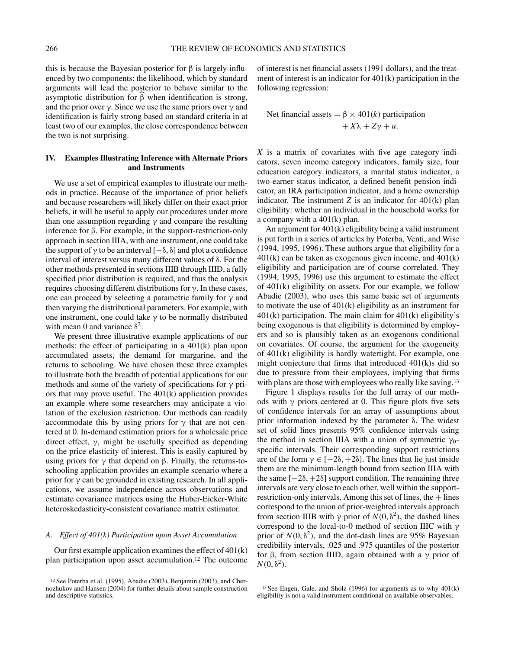this is because the Bayesian posterior for β is largely influenced by two components: the likelihood, which by standard arguments will lead the posterior to behave similar to the asymptotic distribution for  $\beta$  when identification is strong, and the prior over  $\gamma$ . Since we use the same priors over  $\gamma$  and identification is fairly strong based on standard criteria in at least two of our examples, the close correspondence between the two is not surprising.

## **IV. Examples Illustrating Inference with Alternate Priors and Instruments**

We use a set of empirical examples to illustrate our methods in practice. Because of the importance of prior beliefs and because researchers will likely differ on their exact prior beliefs, it will be useful to apply our procedures under more than one assumption regarding  $\gamma$  and compare the resulting inference for β. For example, in the support-restriction-only approach in section IIIA, with one instrument, one could take the support of γ to be an interval  $[-\delta, \delta]$  and plot a confidence interval of interest versus many different values of δ. For the other methods presented in sections IIIB through IIID, a fully specified prior distribution is required, and thus the analysis requires choosing different distributions for γ. In these cases, one can proceed by selecting a parametric family for  $\gamma$  and then varying the distributional parameters. For example, with one instrument, one could take  $\gamma$  to be normally distributed with mean 0 and variance  $\delta^2$ .

We present three illustrative example applications of our methods: the effect of participating in a 401(k) plan upon accumulated assets, the demand for margarine, and the returns to schooling. We have chosen these three examples to illustrate both the breadth of potential applications for our methods and some of the variety of specifications for  $\gamma$  priors that may prove useful. The 401(k) application provides an example where some researchers may anticipate a violation of the exclusion restriction. Our methods can readily accommodate this by using priors for  $\gamma$  that are not centered at 0. In-demand estimation priors for a wholesale price direct effect,  $γ$ , might be usefully specified as depending on the price elasticity of interest. This is easily captured by using priors for γ that depend on β. Finally, the returns-toschooling application provides an example scenario where a prior for  $\gamma$  can be grounded in existing research. In all applications, we assume independence across observations and estimate covariance matrices using the Huber-Eicker-White heteroskedasticity-consistent covariance matrix estimator.

## *A. Effect of 401(k) Participation upon Asset Accumulation*

Our first example application examines the effect of 401(k) plan participation upon asset accumulation.12 The outcome of interest is net financial assets (1991 dollars), and the treatment of interest is an indicator for 401(k) participation in the following regression:

Net financial assets = 
$$
β × 401(k)
$$
 participation  
+  $Xλ + Zγ + u$ .

*X* is a matrix of covariates with five age category indicators, seven income category indicators, family size, four education category indicators, a marital status indicator, a two-earner status indicator, a defined benefit pension indicator, an IRA participation indicator, and a home ownership indicator. The instrument  $Z$  is an indicator for  $401(k)$  plan eligibility: whether an individual in the household works for a company with a 401(k) plan.

An argument for 401(k) eligibility being a valid instrument is put forth in a series of articles by Poterba, Venti, and Wise (1994, 1995, 1996). These authors argue that eligibility for a  $401(k)$  can be taken as exogenous given income, and  $401(k)$ eligibility and participation are of course correlated. They (1994, 1995, 1996) use this argument to estimate the effect of 401(k) eligibility on assets. For our example, we follow Abadie (2003), who uses this same basic set of arguments to motivate the use of  $401(k)$  eligibility as an instrument for  $401(k)$  participation. The main claim for  $401(k)$  eligibility's being exogenous is that eligibility is determined by employers and so is plausibly taken as an exogenous conditional on covariates. Of course, the argument for the exogeneity of 401(k) eligibility is hardly watertight. For example, one might conjecture that firms that introduced 401(k)s did so due to pressure from their employees, implying that firms with plans are those with employees who really like saving.<sup>13</sup>

Figure 1 displays results for the full array of our methods with  $\gamma$  priors centered at 0. This figure plots five sets of confidence intervals for an array of assumptions about prior information indexed by the parameter δ. The widest set of solid lines presents 95% confidence intervals using the method in section IIIA with a union of symmetric  $\gamma_0$ specific intervals. Their corresponding support restrictions are of the form  $\gamma \in [-2\delta, +2\delta]$ . The lines that lie just inside them are the minimum-length bound from section IIIA with the same  $[-2\delta, +2\delta]$  support condition. The remaining three intervals are very close to each other, well within the supportrestriction-only intervals. Among this set of lines, the  $+$  lines correspond to the union of prior-weighted intervals approach from section IIIB with  $\gamma$  prior of  $N(0, \delta^2)$ , the dashed lines correspond to the local-to-0 method of section IIIC with γ prior of  $N(0, \delta^2)$ , and the dot-dash lines are 95% Bayesian credibility intervals, .025 and .975 quantiles of the posterior for β, from section IIID, again obtained with a γ prior of *N*(0,  $\delta^2$ ).

<sup>12</sup> See Poterba et al. (1995), Abadie (2003), Benjamin (2003), and Chernozhukov and Hansen (2004) for further details about sample construction and descriptive statistics.

 $13$  See Engen, Gale, and Sholz (1996) for arguments as to why  $401(k)$ eligibility is not a valid instrument conditional on available observables.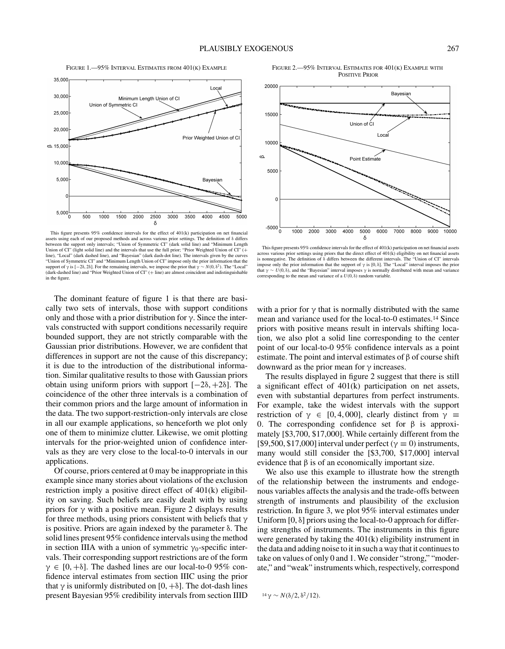Figure 1.—95% Interval Estimates from 401(k) Example



This figure presents 95% confidence intervals for the effect of 401(k) participation on net financial assets using each of our proposed methods and across various prior settings. The definition of δ differs between the support only intervals; "Union of Symmetric CI" (dark solid line) and "Minimum Length Union of CI" (light solid line) and the intervals that use the full prior; "Prior Weighted Union of CI" (+ line), "Local" (dark dashed line), and "Bayesian" (dark dash-dot line). The intervals given by the curves "Union of Symmetric CI" and "Minimum Length Union of CI" impose only the prior information that the support of  $\gamma$  is  $[-2\delta, 2\delta]$ . For the remaining intervals, we impose the prior that  $\gamma \sim N(0, \delta^2)$ . The "Local" (dark-dashed line) and "Prior Weighted Union of CI" (+ line) are almost coincident and indistinguishable in the figure.

The dominant feature of figure 1 is that there are basically two sets of intervals, those with support conditions only and those with a prior distribution for  $\gamma$ . Since the intervals constructed with support conditions necessarily require bounded support, they are not strictly comparable with the Gaussian prior distributions. However, we are confident that differences in support are not the cause of this discrepancy; it is due to the introduction of the distributional information. Similar qualitative results to those with Gaussian priors obtain using uniform priors with support  $[-2\delta, +2\delta]$ . The coincidence of the other three intervals is a combination of their common priors and the large amount of information in the data. The two support-restriction-only intervals are close in all our example applications, so henceforth we plot only one of them to minimize clutter. Likewise, we omit plotting intervals for the prior-weighted union of confidence intervals as they are very close to the local-to-0 intervals in our applications.

Of course, priors centered at 0 may be inappropriate in this example since many stories about violations of the exclusion restriction imply a positive direct effect of 401(k) eligibility on saving. Such beliefs are easily dealt with by using priors for γ with a positive mean. Figure 2 displays results for three methods, using priors consistent with beliefs that  $\gamma$ is positive. Priors are again indexed by the parameter δ. The solid lines present 95% confidence intervals using the method in section IIIA with a union of symmetric  $\gamma_0$ -specific intervals. Their corresponding support restrictions are of the form  $\gamma \in [0, +\delta]$ . The dashed lines are our local-to-0 95% confidence interval estimates from section IIIC using the prior that  $\gamma$  is uniformly distributed on [0, + $\delta$ ]. The dot-dash lines present Bayesian 95% credibility intervals from section IIID



FIGURE 2.—95% INTERVAL ESTIMATES FOR 401(K) EXAMPLE WITH POSITIVE PRIOR

This figure presents 95% confidence intervals for the effect of 401(k) participation on net financial assets across various prior settings using priors that the direct effect of  $401(k)$  eligibility on net financial assets<br>is nonnegative. The definition of  $\delta$  differs between the different intervals. The "Union of CI" intervals  $\overrightarrow{a}$  differs between the different intervals. The "Union of CI" intervals. impose only the prior information that the support of  $\gamma$  is [0,  $\delta$ ]. The "Local" interval imposes the prior that γ ∼ *U(*0, δ*)*, and the "Bayesian" interval imposes γ is normally distributed with mean and variance corresponding to the mean and variance of a  $U(0, \delta)$  random variable

with a prior for  $\gamma$  that is normally distributed with the same mean and variance used for the local-to-0 estimates.14 Since priors with positive means result in intervals shifting location, we also plot a solid line corresponding to the center point of our local-to-0 95% confidence intervals as a point estimate. The point and interval estimates of  $\beta$  of course shift downward as the prior mean for  $\gamma$  increases.

The results displayed in figure 2 suggest that there is still a significant effect of 401(k) participation on net assets, even with substantial departures from perfect instruments. For example, take the widest intervals with the support restriction of  $\gamma \in [0, 4, 000]$ , clearly distinct from  $\gamma \equiv$ 0. The corresponding confidence set for β is approximately [\$3,700, \$17,000]. While certainly different from the [ $$9,500, $17,000$ ] interval under perfect ( $\gamma \equiv 0$ ) instruments, many would still consider the [\$3,700, \$17,000] interval evidence that  $\beta$  is of an economically important size.

We also use this example to illustrate how the strength of the relationship between the instruments and endogenous variables affects the analysis and the trade-offs between strength of instruments and plausibility of the exclusion restriction. In figure 3, we plot 95% interval estimates under Uniform [0, δ] priors using the local-to-0 approach for differing strengths of instruments. The instruments in this figure were generated by taking the 401(k) eligibility instrument in the data and adding noise to it in such a way that it continues to take on values of only 0 and 1. We consider "strong," "moderate," and "weak" instruments which, respectively, correspond

 $14$  γ ∼  $N$ (δ/2, δ<sup>2</sup>/12).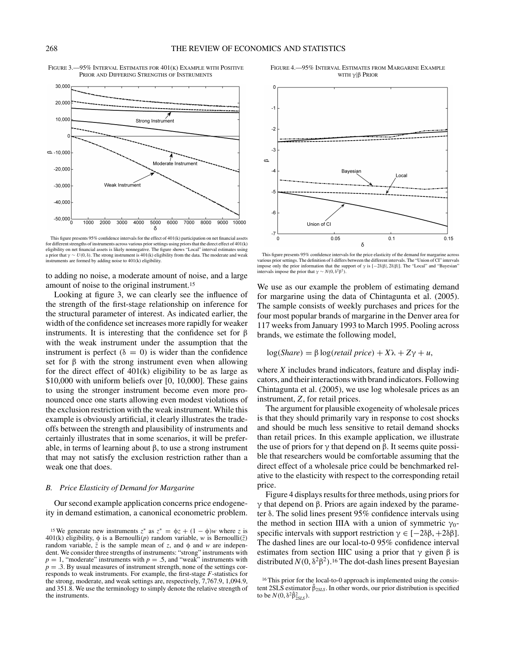Figure 3.—95% Interval Estimates for 401(k) Example with Positive Prior and Differing Strengths of Instruments



This figure presents 95% confidence intervals for the effect of 401(k) participation on net financial assets for different strengths of instruments across various prior settings using priors that the direct effect of 401(k) eligibility on net financial assets is likely nonnegative. The figure shows "Local" interval estimates using a prior that γ ∼ *U(*0, δ*)*. The strong instrument is 401(k) eligibility from the data. The moderate and weak instruments are formed by adding noise to 401(k) eligibility.

to adding no noise, a moderate amount of noise, and a large amount of noise to the original instrument.15

Looking at figure 3, we can clearly see the influence of the strength of the first-stage relationship on inference for the structural parameter of interest. As indicated earlier, the width of the confidence set increases more rapidly for weaker instruments. It is interesting that the confidence set for β with the weak instrument under the assumption that the instrument is perfect  $(\delta = 0)$  is wider than the confidence set for  $\beta$  with the strong instrument even when allowing for the direct effect of 401(k) eligibility to be as large as \$10,000 with uniform beliefs over [0, 10,000]. These gains to using the stronger instrument become even more pronounced once one starts allowing even modest violations of the exclusion restriction with the weak instrument. While this example is obviously artificial, it clearly illustrates the tradeoffs between the strength and plausibility of instruments and certainly illustrates that in some scenarios, it will be preferable, in terms of learning about β, to use a strong instrument that may not satisfy the exclusion restriction rather than a weak one that does.

### *B. Price Elasticity of Demand for Margarine*

Our second example application concerns price endogeneity in demand estimation, a canonical econometric problem.



This figure presents 95% confidence intervals for the price elasticity of the demand for margarine across various prior settings. The definition of δ differs between the different intervals. The "Union of CI" intervals impose only the prior information that the support of γ is  $[-2\delta|\beta|, 2\delta|\beta|]$ . The "Local" and "Bayesian" intervals impose the prior that γ ∼  $N(0, \delta^2 \beta^2)$ .

We use as our example the problem of estimating demand for margarine using the data of Chintagunta et al. (2005). The sample consists of weekly purchases and prices for the four most popular brands of margarine in the Denver area for 117 weeks from January 1993 to March 1995. Pooling across brands, we estimate the following model,

$$
log(Share) = \beta log(retail price) + X\lambda + Z\gamma + u,
$$

where *X* includes brand indicators, feature and display indicators, and their interactions with brand indicators. Following Chintagunta et al. (2005), we use log wholesale prices as an instrument, *Z*, for retail prices.

The argument for plausible exogeneity of wholesale prices is that they should primarily vary in response to cost shocks and should be much less sensitive to retail demand shocks than retail prices. In this example application, we illustrate the use of priors for  $\gamma$  that depend on β. It seems quite possible that researchers would be comfortable assuming that the direct effect of a wholesale price could be benchmarked relative to the elasticity with respect to the corresponding retail price.

Figure 4 displays results for three methods, using priors for γ that depend on β. Priors are again indexed by the parameter δ. The solid lines present 95% confidence intervals using the method in section IIIA with a union of symmetric  $\gamma_0$ specific intervals with support restriction  $\gamma \in [-2\delta\beta, +2\delta\beta]$ . The dashed lines are our local-to-0 95% confidence interval estimates from section IIIC using a prior that  $\gamma$  given  $\beta$  is distributed  $N(0, \delta^2 \beta^2)$ .<sup>16</sup> The dot-dash lines present Bayesian

Figure 4.—95% Interval Estimates from Margarine Example with  $\gamma|\beta$  Prior

<sup>&</sup>lt;sup>15</sup> We generate new instruments  $z^*$  as  $z^* = \phi z + (1 - \phi)w$  where *z* is 401(k) eligibility,  $\phi$  is a Bernoulli(*p*) random variable, *w* is Bernoulli( $\overline{z}$ ) random variable,  $\overline{z}$  is the sample mean of *z*, and  $\phi$  and *w* are independent. We consider three strengths of instruments: "strong" instruments with  $p = 1$ , "moderate" instruments with  $p = .5$ , and "weak" instruments with  $p = 0.3$ . By usual measures of instrument strength, none of the settings corresponds to weak instruments. For example, the first-stage *F*-statistics for the strong, moderate, and weak settings are, respectively, 7,767.9, 1,094.9, and 351.8. We use the terminology to simply denote the relative strength of the instruments.

<sup>&</sup>lt;sup>16</sup> This prior for the local-to-0 approach is implemented using the consistent 2SLS estimator  $\hat{\beta}_{2SLS}$ . In other words, our prior distribution is specified to be  $N(0, \delta^2 \hat{\beta}_{2SLS}^2)$ .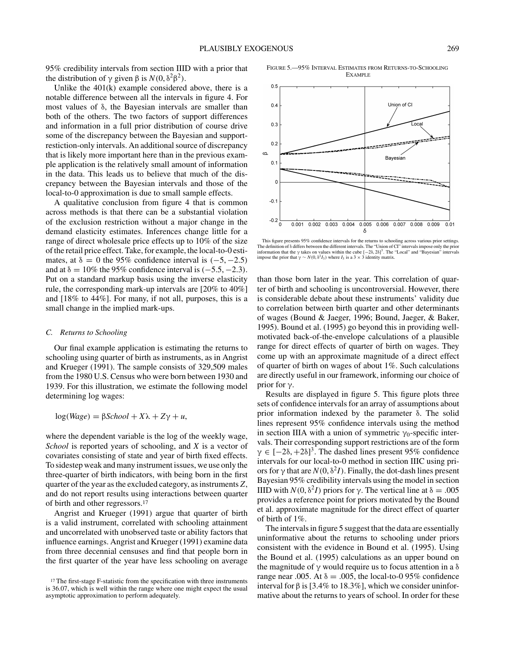95% credibility intervals from section IIID with a prior that the distribution of  $\gamma$  given β is  $N(0, \delta^2 \beta^2)$ .

Unlike the  $401(k)$  example considered above, there is a notable difference between all the intervals in figure 4. For most values of δ, the Bayesian intervals are smaller than both of the others. The two factors of support differences and information in a full prior distribution of course drive some of the discrepancy between the Bayesian and supportrestiction-only intervals. An additional source of discrepancy that is likely more important here than in the previous example application is the relatively small amount of information in the data. This leads us to believe that much of the discrepancy between the Bayesian intervals and those of the local-to-0 approximation is due to small sample effects.

A qualitative conclusion from figure 4 that is common across methods is that there can be a substantial violation of the exclusion restriction without a major change in the demand elasticity estimates. Inferences change little for a range of direct wholesale price effects up to 10% of the size of the retail price effect. Take, for example, the local-to-0 estimates, at  $\delta = 0$  the 95% confidence interval is  $(-5, -2.5)$ and at  $\delta = 10\%$  the 95% confidence interval is  $(-5.5, -2.3)$ . Put on a standard markup basis using the inverse elasticity rule, the corresponding mark-up intervals are [20% to 40%] and [18% to 44%]. For many, if not all, purposes, this is a small change in the implied mark-ups.

### *C. Returns to Schooling*

Our final example application is estimating the returns to schooling using quarter of birth as instruments, as in Angrist and Krueger (1991). The sample consists of 329,509 males from the 1980 U.S. Census who were born between 1930 and 1939. For this illustration, we estimate the following model determining log wages:

log*(Wage)* = β*School* + *X*λ + *Z*γ + *u*,

where the dependent variable is the log of the weekly wage, *School* is reported years of schooling, and *X* is a vector of covariates consisting of state and year of birth fixed effects. To sidestep weak and many instrument issues, we use only the three-quarter of birth indicators, with being born in the first quarter of the year as the excluded category, as instruments *Z*, and do not report results using interactions between quarter of birth and other regressors.17

Angrist and Krueger (1991) argue that quarter of birth is a valid instrument, correlated with schooling attainment and uncorrelated with unobserved taste or ability factors that influence earnings. Angrist and Krueger (1991) examine data from three decennial censuses and find that people born in the first quarter of the year have less schooling on average

This figure presents 95% confidence intervals for the returns to schooling across various prior settings. The definition of δ differs between the different intervals. The "Union of CI" intervals impose only the prior information that the γ takes on values within the cube  $[-2\delta, 2\delta]^3$ . The "Local" and "Bayesian" intervals impose the prior that γ ∼ *N(*0, δ<sup>2</sup>*I*3*)* where *I*<sup>3</sup> is a 3 × 3 identity matrix.

than those born later in the year. This correlation of quarter of birth and schooling is uncontroversial. However, there is considerable debate about these instruments' validity due to correlation between birth quarter and other determinants of wages (Bound & Jaeger, 1996; Bound, Jaeger, & Baker, 1995). Bound et al. (1995) go beyond this in providing wellmotivated back-of-the-envelope calculations of a plausible range for direct effects of quarter of birth on wages. They come up with an approximate magnitude of a direct effect of quarter of birth on wages of about 1%. Such calculations are directly useful in our framework, informing our choice of prior for γ.

Results are displayed in figure 5. This figure plots three sets of confidence intervals for an array of assumptions about prior information indexed by the parameter δ. The solid lines represent 95% confidence intervals using the method in section IIIA with a union of symmetric  $\gamma_0$ -specific intervals. Their corresponding support restrictions are of the form  $\gamma \in [-2\delta, +2\delta]^3$ . The dashed lines present 95% confidence intervals for our local-to-0 method in section IIIC using priors for γ that are  $N(0, δ^2I)$ . Finally, the dot-dash lines present Bayesian 95% credibility intervals using the model in section IIID with *N*(0, δ<sup>2</sup>*I*) priors for γ. The vertical line at δ = .005 provides a reference point for priors motivated by the Bound et al. approximate magnitude for the direct effect of quarter of birth of 1%.

The intervals in figure 5 suggest that the data are essentially uninformative about the returns to schooling under priors consistent with the evidence in Bound et al. (1995). Using the Bound et al. (1995) calculations as an upper bound on the magnitude of  $\gamma$  would require us to focus attention in a  $\delta$ range near .005. At  $\delta = .005$ , the local-to-0 95% confidence interval for β is [3.4% to 18.3%], which we consider uninformative about the returns to years of school. In order for these



Figure 5.—95% Interval Estimates from Returns-to-Schooling

<sup>&</sup>lt;sup>17</sup> The first-stage F-statistic from the specification with three instruments is 36.07, which is well within the range where one might expect the usual asymptotic approximation to perform adequately.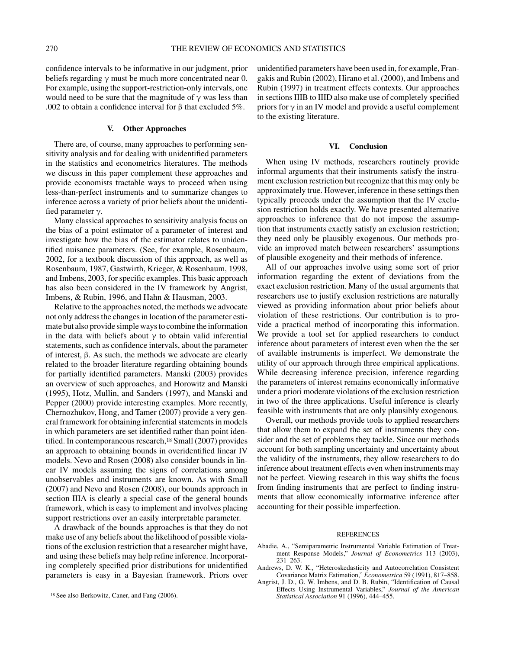confidence intervals to be informative in our judgment, prior beliefs regarding  $\gamma$  must be much more concentrated near 0. For example, using the support-restriction-only intervals, one would need to be sure that the magnitude of  $\gamma$  was less than .002 to obtain a confidence interval for β that excluded 5%.

## **V. Other Approaches**

There are, of course, many approaches to performing sensitivity analysis and for dealing with unidentified parameters in the statistics and econometrics literatures. The methods we discuss in this paper complement these approaches and provide economists tractable ways to proceed when using less-than-perfect instruments and to summarize changes to inference across a variety of prior beliefs about the unidentified parameter γ.

Many classical approaches to sensitivity analysis focus on the bias of a point estimator of a parameter of interest and investigate how the bias of the estimator relates to unidentified nuisance parameters. (See, for example, Rosenbaum, 2002, for a textbook discussion of this approach, as well as Rosenbaum, 1987, Gastwirth, Krieger, & Rosenbaum, 1998, and Imbens, 2003, for specific examples. This basic approach has also been considered in the IV framework by Angrist, Imbens, & Rubin, 1996, and Hahn & Hausman, 2003.

Relative to the approaches noted, the methods we advocate not only address the changes in location of the parameter estimate but also provide simple ways to combine the information in the data with beliefs about  $\gamma$  to obtain valid inferential statements, such as confidence intervals, about the parameter of interest, β. As such, the methods we advocate are clearly related to the broader literature regarding obtaining bounds for partially identified parameters. Manski (2003) provides an overview of such approaches, and Horowitz and Manski (1995), Hotz, Mullin, and Sanders (1997), and Manski and Pepper (2000) provide interesting examples. More recently, Chernozhukov, Hong, and Tamer (2007) provide a very general framework for obtaining inferential statements in models in which parameters are set identified rather than point identified. In contemporaneous research,18 Small (2007) provides an approach to obtaining bounds in overidentified linear IV models. Nevo and Rosen (2008) also consider bounds in linear IV models assuming the signs of correlations among unobservables and instruments are known. As with Small (2007) and Nevo and Rosen (2008), our bounds approach in section IIIA is clearly a special case of the general bounds framework, which is easy to implement and involves placing support restrictions over an easily interpretable parameter.

A drawback of the bounds approaches is that they do not make use of any beliefs about the likelihood of possible violations of the exclusion restriction that a researcher might have, and using these beliefs may help refine inference. Incorporating completely specified prior distributions for unidentified parameters is easy in a Bayesian framework. Priors over unidentified parameters have been used in, for example, Frangakis and Rubin (2002), Hirano et al. (2000), and Imbens and Rubin (1997) in treatment effects contexts. Our approaches in sections IIIB to IIID also make use of completely specified priors for  $\gamma$  in an IV model and provide a useful complement to the existing literature.

## **VI. Conclusion**

When using IV methods, researchers routinely provide informal arguments that their instruments satisfy the instrument exclusion restriction but recognize that this may only be approximately true. However, inference in these settings then typically proceeds under the assumption that the IV exclusion restriction holds exactly. We have presented alternative approaches to inference that do not impose the assumption that instruments exactly satisfy an exclusion restriction; they need only be plausibly exogenous. Our methods provide an improved match between researchers' assumptions of plausible exogeneity and their methods of inference.

All of our approaches involve using some sort of prior information regarding the extent of deviations from the exact exclusion restriction. Many of the usual arguments that researchers use to justify exclusion restrictions are naturally viewed as providing information about prior beliefs about violation of these restrictions. Our contribution is to provide a practical method of incorporating this information. We provide a tool set for applied researchers to conduct inference about parameters of interest even when the the set of available instruments is imperfect. We demonstrate the utility of our approach through three empirical applications. While decreasing inference precision, inference regarding the parameters of interest remains economically informative under a priori moderate violations of the exclusion restriction in two of the three applications. Useful inference is clearly feasible with instruments that are only plausibly exogenous.

Overall, our methods provide tools to applied researchers that allow them to expand the set of instruments they consider and the set of problems they tackle. Since our methods account for both sampling uncertainty and uncertainty about the validity of the instruments, they allow researchers to do inference about treatment effects even when instruments may not be perfect. Viewing research in this way shifts the focus from finding instruments that are perfect to finding instruments that allow economically informative inference after accounting for their possible imperfection.

#### **REFERENCES**

- Abadie, A., "Semiparametric Instrumental Variable Estimation of Treatment Response Models," *Journal of Econometrics* 113 (2003), 231–263.
- Andrews, D. W. K., "Heteroskedasticity and Autocorrelation Consistent Covariance Matrix Estimation," *Econometrica* 59 (1991), 817–858.
- Angrist, J. D., G. W. Imbens, and D. B. Rubin, "Identification of Causal Effects Using Instrumental Variables," *Journal of the American Statistical Association* 91 (1996), 444–455.

<sup>18</sup> See also Berkowitz, Caner, and Fang (2006).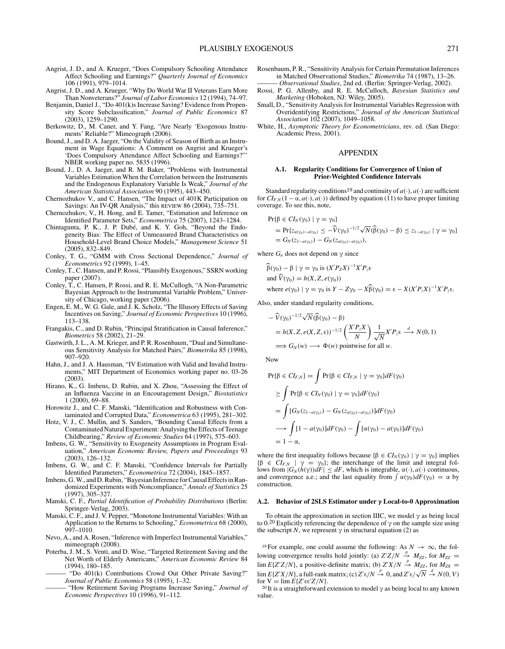- Angrist, J. D., and A. Krueger, "Does Compulsory Schooling Attendance Affect Schooling and Earnings?" *Quarterly Journal of Economics* 106 (1991), 979–1014.
- Angrist, J. D., and A. Krueger, "Why Do World War II Veterans Earn More Than Nonveterans?" *Journal of Labor Economics* 12 (1994), 74–97.
- Benjamin, Daniel J., "Do 401(k)s Increase Saving? Evidence from Propensity Score Subclassification," *Journal of Public Economics* 87 (2003), 1259–1290.
- Berkowitz, D., M. Caner, and Y. Fang, "Are Nearly 'Exogenous Instruments' Reliable?" Mimeograph (2006).
- Bound, J., and D. A. Jaeger, "On the Validity of Season of Birth as an Instrument in Wage Equations: A Comment on Angrist and Krueger's 'Does Compulsory Attendance Affect Schooling and Earnings?"' NBER working paper no. 5835 (1996).
- Bound, J., D. A. Jaeger, and R. M. Baker, "Problems with Instrumental Variables Estimation When the Correlation between the Instruments and the Endogenous Explanatory Variable Is Weak," *Journal of the American Statistical Association* 90 (1995), 443–450.
- Chernozhukov V., and C. Hansen, "The Impact of 401K Participation on Savings: An IV-QR Analysis," this review 86 (2004), 735–751.
- Chernozhukov, V., H. Hong, and E. Tamer, "Estimation and Inference on Identified Parameter Sets," *Econometrica* 75 (2007), 1243–1284.
- Chintagunta, P. K., J. P. Dubé, and K. Y. Goh, "Beyond the Endogeneity Bias: The Effect of Unmeasured Brand Characteristics on Household-Level Brand Choice Models," *Management Science* 51 (2005), 832–849.
- Conley, T. G., "GMM with Cross Sectional Dependence," *Journal of Econometrics* 92 (1999), 1–45.
- Conley, T., C. Hansen, and P. Rossi, "Plausibly Exogenous," SSRN working paper (2007).
- Conley, T., C. Hansen, P. Rossi, and R. E. McCullogh, "A Non-Parametric Bayesian Approach to the Instrumental Variable Problem," University of Chicago, working paper (2006).
- Engen, E. M., W. G. Gale, and J. K. Scholz, "The Illusory Effects of Saving Incentives on Saving," *Journal of Economic Perspectives* 10 (1996), 113–138.
- Frangakis, C., and D. Rubin, "Principal Stratification in Causal Inference," *Biometrics* 58 (2002), 21–29.
- Gastwirth, J. L., A. M. Krieger, and P. R. Rosenbaum, "Dual and Simultaneous Sensitivity Analysis for Matched Pairs," *Biometrika* 85 (1998), 907–920.
- Hahn, J., and J. A. Hausman, "IV Estimation with Valid and Invalid Instruments," MIT Department of Economics working paper no. 03-26 (2003).
- Hirano, K., G. Imbens, D. Rubin, and X. Zhou, "Assessing the Effect of an Influenza Vaccine in an Encouragement Design," *Biostatistics* 1 (2000), 69–88.
- Horowitz J., and C. F. Manski, "Identification and Robustness with Contaminated and Corrupted Data," *Econometrica* 63 (1995), 281–302.
- Hotz, V. J., C. Mullin, and S. Sanders, "Bounding Causal Effects from a Contaminated Natural Experiment: Analysing the Effects of Teenage Childbearing," *Review of Economic Studies* 64 (1997), 575–603.
- Imbens, G. W., "Sensitivity to Exogeneity Assumptions in Program Evaluation," *American Economic Review, Papers and Proceedings* 93 (2003), 126–132.
- Imbens, G. W., and C. F. Manski, "Confidence Intervals for Partially Identified Parameters," *Econometrica* 72 (2004), 1845–1857.
- Imbens, G.W., and D. Rubin, "Bayesian Inference for Causal Effects in Randomized Experiments with Noncompliance," *Annals of Statistics* 25 (1997), 305–327.
- Manski, C. F., *Partial Identification of Probability Distributions* (Berlin: Springer-Verlag, 2003).
- Manski, C. F., and J. V. Pepper, "Monotone Instrumental Variables: With an Application to the Returns to Schooling," *Econometrica* 68 (2000), 997–1010.
- Nevo, A., and A. Rosen, "Inference with Imperfect Instrumental Variables," mimeograph (2008).
- Poterba, J. M., S. Venti, and D. Wise, "Targeted Retirement Saving and the Net Worth of Elderly Americans," *American Economic Review* 84 (1994), 180–185.
	- "Do 401(k) Contributions Crowd Out Other Private Saving?" *Journal of Public Economics* 58 (1995), 1–32.
	- ——— "How Retirement Saving Programs Increase Saving," *Journal of Economic Perspectives* 10 (1996), 91–112.
- Rosenbaum, P. R., "Sensitivity Analysis for Certain Permutation Inferences in Matched Observational Studies," *Biometrika* 74 (1987), 13–26. ——— *Observational Studies*, 2nd ed. (Berlin: Springer-Verlag, 2002).
- Rossi, P. G. Allenby, and R. E. McCulloch, *Bayesian Statistics and Marketing* (Hoboken, NJ: Wiley, 2005).
- Small, D., "Sensitivity Analysis for Instrumental Variables Regression with Overidentifying Restrictions," *Journal of the American Statistical Association* 102 (2007), 1049–1058.
- White, H., *Asymptotic Theory for Econometricians*, rev. ed. (San Diego: Academic Press, 2001).

#### APPENDIX

#### **A.1. Regularity Conditions for Convergence of Union of Prior-Weighted Confidence Intervals**

Standard regularity conditions<sup>19</sup> and continuity of  $a(\cdot)$ ,  $a(\cdot)$  are sufficient for  $CI_{FN}(1 - \alpha, a(\cdot), a(\cdot))$  defined by equation (11) to have proper limiting coverage. To see this, note,

$$
\Pr{\beta \in CI_N(\gamma_0) \mid \gamma = \gamma_0} \n= \Pr{z_{\alpha(\gamma_0) - \alpha(\gamma_0)} \leq -\widehat{V}(\gamma_0)^{-1/2}\sqrt{N}(\widehat{\beta}(\gamma_0) - \beta) \leq z_{1 - \alpha(\gamma_0)} \mid \gamma = \gamma_0} \n= G_N(z_{1 - \alpha(\gamma_0)}) - G_N(z_{\alpha(\gamma_0) - \alpha(\gamma_0)}),
$$

where  $G_n$  does not depend on  $\gamma$  since

$$
\widehat{\beta}(\gamma_0) - \beta \mid \gamma = \gamma_0 \text{ is } (X'P_ZX)^{-1}X'P_z\varepsilon
$$
  
and  $\widehat{V}(\gamma_0) = h(X, Z, e(\gamma_0))$   
where  $e(\gamma_0) \mid \gamma = \gamma_0 \text{ is } Y - Z\gamma_0 - X\widehat{\beta}(\gamma_0) = \varepsilon - X(X'P_zX)^{-1}X'P_z\varepsilon$ .

Also, under standard regularity conditions,

$$
- \widehat{V}(\gamma_0)^{-1/2} \sqrt{N}(\widehat{\beta}(\gamma_0) - \beta)
$$
  
=  $h(X, Z, e(X, Z, \varepsilon))^{-1/2} \left(\frac{X'P_z X}{N}\right) \frac{1}{\sqrt{N}} X' P_z \varepsilon \xrightarrow{d} N(0, 1)$   
 $\implies G_N(w) \longrightarrow \Phi(w)$  pointwise for all w.

Now

$$
\Pr{\beta \in CI_{F,N}} = \int \Pr{\beta \in CI_{F,N} | \gamma = \gamma_0} dF(\gamma_0)
$$
  
\n
$$
\geq \int \Pr{\beta \in CI_N(\gamma_0) | \gamma = \gamma_0} dF(\gamma_0)
$$
  
\n
$$
= \int [G_N(z_{1-a(\gamma_0)}) - G_N(z_{a(\gamma_0)-a(\gamma_0)})] dF(\gamma_0)
$$
  
\n
$$
\longrightarrow \int [1 - a(\gamma_0)] dF(\gamma_0) - \int [\alpha(\gamma_0) - a(\gamma_0)] dF(\gamma_0)
$$
  
\n
$$
= 1 - \alpha,
$$

where the first inequality follows because  $\{\beta \in CI_N(\gamma_0) \mid \gamma = \gamma_0\}$  implies  ${\beta \in Cl_{FN} \mid \gamma = \gamma_0}$ ; the interchange of the limit and integral follows from  $|G_N(h(\gamma))dF| \leq dF$ , which is integrable,  $\alpha(\cdot)$ ,  $a(\cdot)$  continuous, and convergence a.e.; and the last equality from  $\int \alpha(\gamma_0) dF(\gamma_0) = \alpha$  by construction.

#### **A.2. Behavior of 2SLS Estimator under γ Local-to-0 Approximation**

To obtain the approximation in section IIIC, we model  $\gamma$  as being local to 0.20 Explicitly referencing the dependence of  $\gamma$  on the sample size using the subscript *N*, we represent  $\gamma$  in structural equation (2) as

<sup>19</sup> For example, one could assume the following: As  $N \to \infty$ , the following convergence results hold jointly: (a)  $Z'Z/N \stackrel{p}{\rightarrow} M_{ZZ}$ , for  $M_{ZZ} =$  $\lim E\{Z/Z/N\}$ , a positive-definite matrix; (b)  $Z'X/N \stackrel{p}{\rightarrow} M_{ZZ}$ , for  $M_{ZX} =$  $\lim_{x \to \infty} E\{Z^{\prime}X/N\}$ , a full-rank matrix; (c)  $Z^{\prime}\epsilon/N \stackrel{P}{\rightarrow} 0$ , and  $Z^{\prime}\epsilon/\sqrt{N} \stackrel{d}{\rightarrow} N(0, V)$ for  $V = \lim E\{Z' \epsilon \epsilon' Z/N\}.$ 

<sup>20</sup> It is a straightforward extension to model  $\gamma$  as being local to any known value.